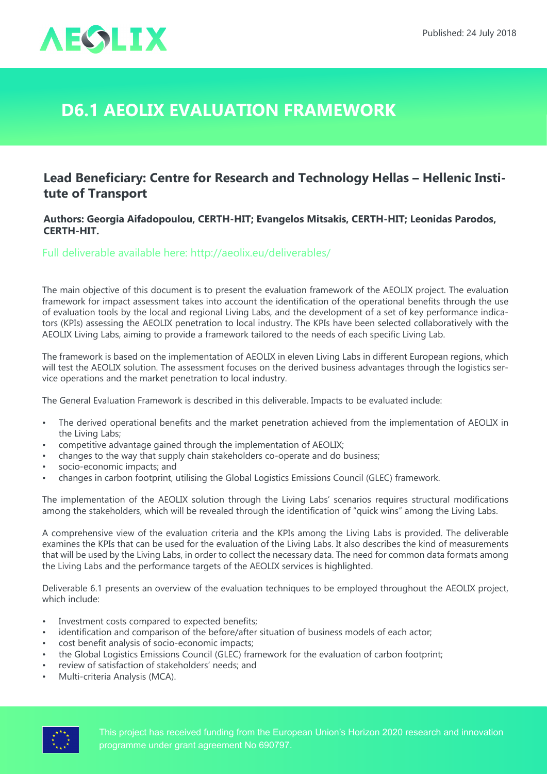

## **D6.1 AEOLIX evaluation framework**

## **Lead Beneficiary: Centre for Research and Technology Hellas – Hellenic Institute of Transport**

## **Authors: Georgia Aifadopoulou, CERTH-HIT; Evangelos Mitsakis, CERTH-HIT; Leonidas Parodos, CERTH-HIT.**

Full deliverable available here: <http://aeolix.eu/deliverables/>

The main objective of this document is to present the evaluation framework of the AEOLIX project. The evaluation framework for impact assessment takes into account the identification of the operational benefits through the use of evaluation tools by the local and regional Living Labs, and the development of a set of key performance indicators (KPIs) assessing the AEOLIX penetration to local industry. The KPIs have been selected collaboratively with the AEOLIX Living Labs, aiming to provide a framework tailored to the needs of each specific Living Lab.

The framework is based on the implementation of AEOLIX in eleven Living Labs in different European regions, which will test the AEOLIX solution. The assessment focuses on the derived business advantages through the logistics service operations and the market penetration to local industry.

The General Evaluation Framework is described in this deliverable. Impacts to be evaluated include:

- The derived operational benefits and the market penetration achieved from the implementation of AEOLIX in the Living Labs;
- competitive advantage gained through the implementation of AEOLIX;
- changes to the way that supply chain stakeholders co-operate and do business;
- socio-economic impacts; and
- changes in carbon footprint, utilising the Global Logistics Emissions Council (GLEC) framework.

The implementation of the AEOLIX solution through the Living Labs' scenarios requires structural modifications among the stakeholders, which will be revealed through the identification of "quick wins" among the Living Labs.

A comprehensive view of the evaluation criteria and the KPIs among the Living Labs is provided. The deliverable examines the KPIs that can be used for the evaluation of the Living Labs. It also describes the kind of measurements that will be used by the Living Labs, in order to collect the necessary data. The need for common data formats among the Living Labs and the performance targets of the AEOLIX services is highlighted.

Deliverable 6.1 presents an overview of the evaluation techniques to be employed throughout the AEOLIX project, which include:

- Investment costs compared to expected benefits;
- identification and comparison of the before/after situation of business models of each actor;
- cost benefit analysis of socio-economic impacts;
- the Global Logistics Emissions Council (GLEC) framework for the evaluation of carbon footprint;
- review of satisfaction of stakeholders' needs; and
- Multi-criteria Analysis (MCA).